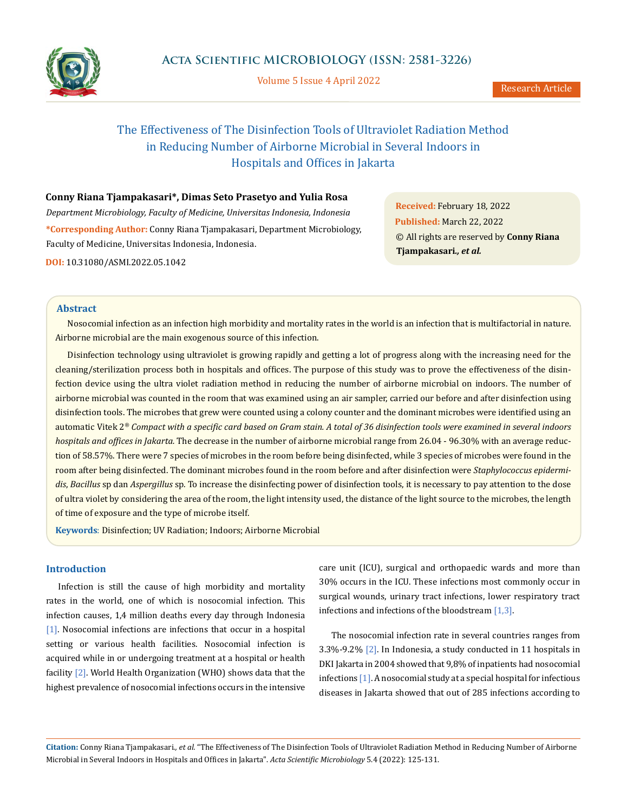

Volume 5 Issue 4 April 2022

# The Effectiveness of The Disinfection Tools of Ultraviolet Radiation Method in Reducing Number of Airborne Microbial in Several Indoors in Hospitals and Offices in Jakarta

# **Conny Riana Tjampakasari\*, Dimas Seto Prasetyo and Yulia Rosa**

*Department Microbiology, Faculty of Medicine, Universitas Indonesia, Indonesia* **\*Corresponding Author:** Conny Riana Tjampakasari, Department Microbiology, Faculty of Medicine, Universitas Indonesia, Indonesia.

**DOI:** [10.31080/ASMI.2022.05.1042](http://actascientific.com/ASMI/pdf/ASMI-05-1042.pdf)

**Received:** February 18, 2022 **Published:** March 22, 2022 © All rights are reserved by **Conny Riana Tjampakasari***., et al.*

## **Abstract**

Nosocomial infection as an infection high morbidity and mortality rates in the world is an infection that is multifactorial in nature. Airborne microbial are the main exogenous source of this infection.

Disinfection technology using ultraviolet is growing rapidly and getting a lot of progress along with the increasing need for the cleaning/sterilization process both in hospitals and offices. The purpose of this study was to prove the effectiveness of the disinfection device using the ultra violet radiation method in reducing the number of airborne microbial on indoors. The number of airborne microbial was counted in the room that was examined using an air sampler, carried our before and after disinfection using disinfection tools. The microbes that grew were counted using a colony counter and the dominant microbes were identified using an automatic Vitek 2*® Compact with a specific card based on Gram stain. A total of 36 disinfection tools were examined in several indoors hospitals and offices in Jakarta.* The decrease in the number of airborne microbial range from 26.04 - 96.30% with an average reduction of 58.57%. There were 7 species of microbes in the room before being disinfected, while 3 species of microbes were found in the room after being disinfected. The dominant microbes found in the room before and after disinfection were *Staphylococcus epidermidis*, *Bacillus* sp dan *Aspergillus* sp*.* To increase the disinfecting power of disinfection tools, it is necessary to pay attention to the dose of ultra violet by considering the area of the room, the light intensity used, the distance of the light source to the microbes, the length of time of exposure and the type of microbe itself.

**Keywords**: Disinfection; UV Radiation; Indoors; Airborne Microbial

# **Introduction**

Infection is still the cause of high morbidity and mortality rates in the world, one of which is nosocomial infection. This infection causes, 1,4 million deaths every day through Indonesia [1]. Nosocomial infections are infections that occur in a hospital setting or various health facilities. Nosocomial infection is acquired while in or undergoing treatment at a hospital or health facility [2]. World Health Organization (WHO) shows data that the highest prevalence of nosocomial infections occurs in the intensive care unit (ICU), surgical and orthopaedic wards and more than 30% occurs in the ICU. These infections most commonly occur in surgical wounds, urinary tract infections, lower respiratory tract infections and infections of the bloodstream [1,3].

The nosocomial infection rate in several countries ranges from 3.3%-9.2% [2]. In Indonesia, a study conducted in 11 hospitals in DKI Jakarta in 2004 showed that 9,8% of inpatients had nosocomial infections [1]. A nosocomial study at a special hospital for infectious diseases in Jakarta showed that out of 285 infections according to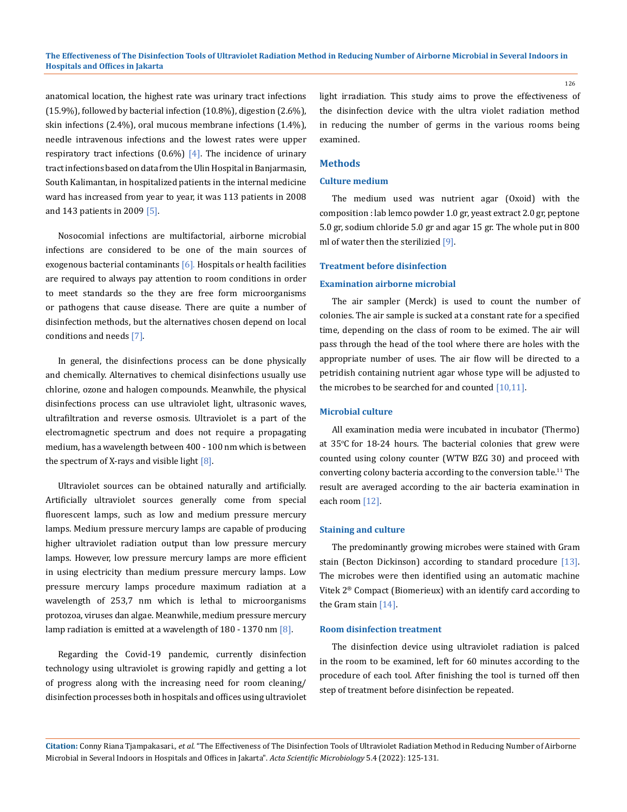anatomical location, the highest rate was urinary tract infections (15.9%), followed by bacterial infection (10.8%), digestion (2.6%), skin infections (2.4%), oral mucous membrane infections (1.4%), needle intravenous infections and the lowest rates were upper respiratory tract infections  $(0.6\%)$  [4]. The incidence of urinary tract infections based on data from the Ulin Hospital in Banjarmasin, South Kalimantan, in hospitalized patients in the internal medicine ward has increased from year to year, it was 113 patients in 2008 and 143 patients in 2009 [5].

Nosocomial infections are multifactorial, airborne microbial infections are considered to be one of the main sources of exogenous bacterial contaminants [6]. Hospitals or health facilities are required to always pay attention to room conditions in order to meet standards so the they are free form microorganisms or pathogens that cause disease. There are quite a number of disinfection methods, but the alternatives chosen depend on local conditions and needs [7].

In general, the disinfections process can be done physically and chemically. Alternatives to chemical disinfections usually use chlorine, ozone and halogen compounds. Meanwhile, the physical disinfections process can use ultraviolet light, ultrasonic waves, ultrafiltration and reverse osmosis. Ultraviolet is a part of the electromagnetic spectrum and does not require a propagating medium, has a wavelength between 400 - 100 nm which is between the spectrum of X-rays and visible light  $[8]$ .

Ultraviolet sources can be obtained naturally and artificially. Artificially ultraviolet sources generally come from special fluorescent lamps, such as low and medium pressure mercury lamps. Medium pressure mercury lamps are capable of producing higher ultraviolet radiation output than low pressure mercury lamps. However, low pressure mercury lamps are more efficient in using electricity than medium pressure mercury lamps. Low pressure mercury lamps procedure maximum radiation at a wavelength of 253,7 nm which is lethal to microorganisms protozoa, viruses dan algae. Meanwhile, medium pressure mercury lamp radiation is emitted at a wavelength of  $180 - 1370$  nm  $\sqrt{8}$ .

Regarding the Covid-19 pandemic, currently disinfection technology using ultraviolet is growing rapidly and getting a lot of progress along with the increasing need for room cleaning/ disinfection processes both in hospitals and offices using ultraviolet light irradiation. This study aims to prove the effectiveness of the disinfection device with the ultra violet radiation method in reducing the number of germs in the various rooms being examined.

# **Methods**

# **Culture medium**

The medium used was nutrient agar (Oxoid) with the composition : lab lemco powder 1.0 gr, yeast extract 2.0 gr, peptone 5.0 gr, sodium chloride 5.0 gr and agar 15 gr. The whole put in 800 ml of water then the sterilizied [9].

#### **Treatment before disinfection**

#### **Examination airborne microbial**

The air sampler (Merck) is used to count the number of colonies. The air sample is sucked at a constant rate for a specified time, depending on the class of room to be eximed. The air will pass through the head of the tool where there are holes with the appropriate number of uses. The air flow will be directed to a petridish containing nutrient agar whose type will be adjusted to the microbes to be searched for and counted [10,11].

# **Microbial culture**

All examination media were incubated in incubator (Thermo) at 35°C for 18-24 hours. The bacterial colonies that grew were counted using colony counter (WTW BZG 30) and proceed with converting colony bacteria according to the conversion table.11 The result are averaged according to the air bacteria examination in each room [12].

#### **Staining and culture**

The predominantly growing microbes were stained with Gram stain (Becton Dickinson) according to standard procedure [13]. The microbes were then identified using an automatic machine Vitek 2® Compact (Biomerieux) with an identify card according to the Gram stain [14].

#### **Room disinfection treatment**

The disinfection device using ultraviolet radiation is palced in the room to be examined, left for 60 minutes according to the procedure of each tool. After finishing the tool is turned off then step of treatment before disinfection be repeated.

**Citation:** Conny Riana Tjampakasari*., et al.* "The Effectiveness of The Disinfection Tools of Ultraviolet Radiation Method in Reducing Number of Airborne Microbial in Several Indoors in Hospitals and Offices in Jakarta". *Acta Scientific Microbiology* 5.4 (2022): 125-131.

126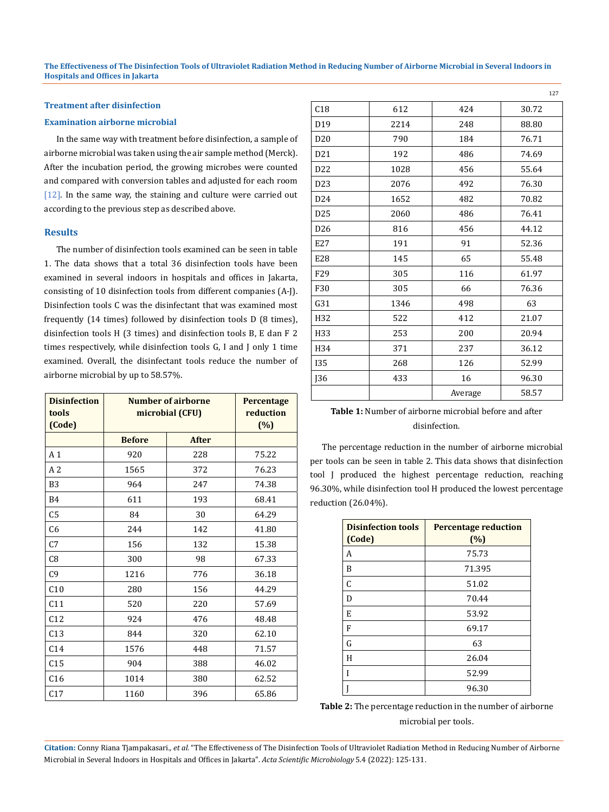#### **Treatment after disinfection**

## **Examination airborne microbial**

In the same way with treatment before disinfection, a sample of airborne microbial was taken using the air sample method (Merck). After the incubation period, the growing microbes were counted and compared with conversion tables and adjusted for each room [12]. In the same way, the staining and culture were carried out according to the previous step as described above.

#### **Results**

The number of disinfection tools examined can be seen in table 1. The data shows that a total 36 disinfection tools have been examined in several indoors in hospitals and offices in Jakarta, consisting of 10 disinfection tools from different companies (A-J). Disinfection tools C was the disinfectant that was examined most frequently (14 times) followed by disinfection tools D (8 times), disinfection tools H (3 times) and disinfection tools B, E dan F 2 times respectively, while disinfection tools G, I and J only 1 time examined. Overall, the disinfectant tools reduce the number of airborne microbial by up to 58.57%.

| <b>Disinfection</b><br>tools<br>(Code) | <b>Number of airborne</b><br>microbial (CFU) |              | <b>Percentage</b><br>reduction<br>(%) |
|----------------------------------------|----------------------------------------------|--------------|---------------------------------------|
|                                        | <b>Before</b>                                | <b>After</b> |                                       |
| A <sub>1</sub>                         | 920                                          | 228          | 75.22                                 |
| A <sub>2</sub>                         | 1565                                         | 372          | 76.23                                 |
| B <sub>3</sub>                         | 964                                          | 247          | 74.38                                 |
| <b>B4</b>                              | 611                                          | 193          | 68.41                                 |
| C <sub>5</sub>                         | 84                                           | 30           | 64.29                                 |
| C <sub>6</sub>                         | 244                                          | 142          | 41.80                                 |
| C7                                     | 156                                          | 132          | 15.38                                 |
| C8                                     | 300                                          | 98           | 67.33                                 |
| C <sub>9</sub>                         | 1216                                         | 776          | 36.18                                 |
| C10                                    | 280                                          | 156          | 44.29                                 |
| C11                                    | 520                                          | 220          | 57.69                                 |
| C12                                    | 924                                          | 476          | 48.48                                 |
| C13                                    | 844                                          | 320          | 62.10                                 |
| C14                                    | 1576                                         | 448          | 71.57                                 |
| C15                                    | 904                                          | 388          | 46.02                                 |
| C16                                    | 1014                                         | 380          | 62.52                                 |
| C17                                    | 1160                                         | 396          | 65.86                                 |

|                 |      |         | 127   |
|-----------------|------|---------|-------|
| C18             | 612  | 424     | 30.72 |
| D19             | 2214 | 248     | 88.80 |
| D <sub>20</sub> | 790  | 184     | 76.71 |
| D <sub>21</sub> | 192  | 486     | 74.69 |
| D <sub>22</sub> | 1028 | 456     | 55.64 |
| D <sub>23</sub> | 2076 | 492     | 76.30 |
| D <sub>24</sub> | 1652 | 482     | 70.82 |
| D <sub>25</sub> | 2060 | 486     | 76.41 |
| D <sub>26</sub> | 816  | 456     | 44.12 |
| E27             | 191  | 91      | 52.36 |
| E28             | 145  | 65      | 55.48 |
| F <sub>29</sub> | 305  | 116     | 61.97 |
| F30             | 305  | 66      | 76.36 |
| G31             | 1346 | 498     | 63    |
| H32             | 522  | 412     | 21.07 |
| H33             | 253  | 200     | 20.94 |
| H34             | 371  | 237     | 36.12 |
| <b>I35</b>      | 268  | 126     | 52.99 |
| J36             | 433  | 16      | 96.30 |
|                 |      | Average | 58.57 |

**Table 1:** Number of airborne microbial before and after disinfection.

The percentage reduction in the number of airborne microbial per tools can be seen in table 2. This data shows that disinfection tool J produced the highest percentage reduction, reaching 96.30%, while disinfection tool H produced the lowest percentage reduction (26.04%).

| <b>Disinfection tools</b><br>(Code) | <b>Percentage reduction</b><br>(%) |
|-------------------------------------|------------------------------------|
| A                                   | 75.73                              |
| B                                   | 71.395                             |
| C                                   | 51.02                              |
| D                                   | 70.44                              |
| E                                   | 53.92                              |
| F                                   | 69.17                              |
| G                                   | 63                                 |
| H                                   | 26.04                              |
| Ī                                   | 52.99                              |
|                                     | 96.30                              |

**Table 2:** The percentage reduction in the number of airborne microbial per tools.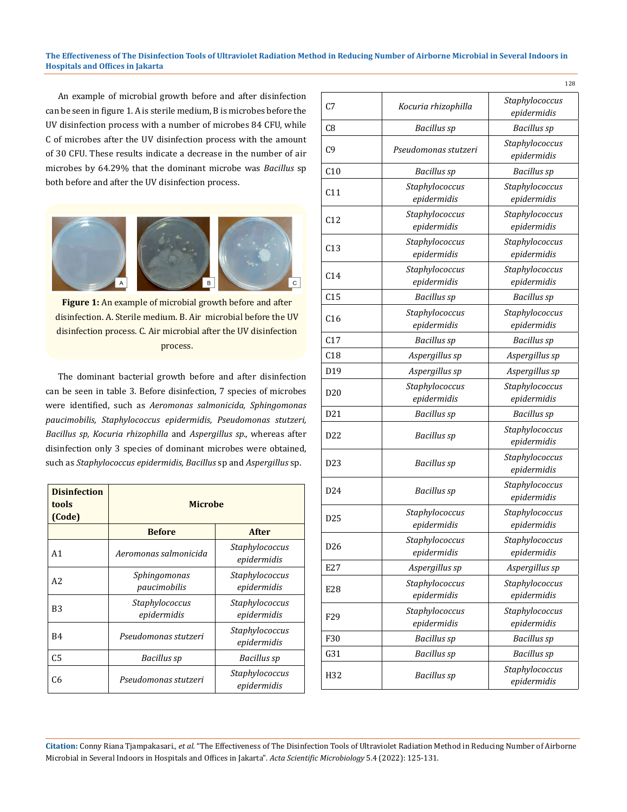An example of microbial growth before and after disinfection can be seen in figure 1. A is sterile medium, B is microbes before the UV disinfection process with a number of microbes 84 CFU, while C of microbes after the UV disinfection process with the amount of 30 CFU. These results indicate a decrease in the number of air microbes by 64.29% that the dominant microbe was *Bacillus* sp both before and after the UV disinfection process.



**Figure 1:** An example of microbial growth before and after disinfection. A. Sterile medium. B. Air microbial before the UV disinfection process. C. Air microbial after the UV disinfection process.

The dominant bacterial growth before and after disinfection can be seen in table 3. Before disinfection, 7 species of microbes were identified, such as *Aeromonas salmonicida, Sphingomonas paucimobilis, Staphylococcus epidermidis, Pseudomonas stutzeri, Bacillus sp, Kocuria rhizophilla* and *Aspergillus sp.,* whereas after disinfection only 3 species of dominant microbes were obtained, such as *Staphylococcus epidermidis, Bacillus* sp and *Aspergillus* sp.

| <b>Disinfection</b><br>tools<br>(Code) | <b>Microbe</b>                |                               |
|----------------------------------------|-------------------------------|-------------------------------|
|                                        | <b>Before</b>                 | <b>After</b>                  |
| A <sub>1</sub>                         | Aeromonas salmonicida         | Staphylococcus<br>epidermidis |
| A2                                     | Sphingomonas<br>paucimobilis  | Staphylococcus<br>epidermidis |
| B <sub>3</sub>                         | Staphylococcus<br>epidermidis | Staphylococcus<br>epidermidis |
| B4                                     | Pseudomonas stutzeri          | Staphylococcus<br>epidermidis |
| C <sub>5</sub>                         | Bacillus sp                   | Bacillus sp                   |
| C6                                     | Pseudomonas stutzeri          | Staphylococcus<br>epidermidis |

| C <sub>7</sub>  | Kocuria rhizophilla           | Staphylococcus<br>epidermidis |
|-----------------|-------------------------------|-------------------------------|
| C <sub>8</sub>  | Bacillus sp                   | Bacillus sp                   |
| C <sub>9</sub>  | Pseudomonas stutzeri          | Staphylococcus<br>epidermidis |
| C10             | Bacillus sp                   | Bacillus sp                   |
| C11             | Staphylococcus<br>epidermidis | Staphylococcus<br>epidermidis |
| C12             | Staphylococcus<br>epidermidis | Staphylococcus<br>epidermidis |
| C13             | Staphylococcus<br>epidermidis | Staphylococcus<br>epidermidis |
| C14             | Staphylococcus<br>epidermidis | Staphylococcus<br>epidermidis |
| C15             | Bacillus sp                   | <b>Bacillus</b> sp            |
| C16             | Staphylococcus<br>epidermidis | Staphylococcus<br>epidermidis |
| C17             | Bacillus sp                   | Bacillus sp                   |
| C18             | Aspergillus sp                | Aspergillus sp                |
| D19             | Aspergillus sp                | Aspergillus sp                |
| D <sub>20</sub> | Staphylococcus<br>epidermidis | Staphylococcus<br>epidermidis |
| D21             | <b>Bacillus</b> sp            | Bacillus sp                   |
| D <sub>22</sub> | <b>Bacillus</b> sp            | Staphylococcus<br>epidermidis |
| D <sub>23</sub> | Bacillus sp                   | Staphylococcus<br>epidermidis |
| D <sub>24</sub> | Bacillus sp                   | Staphylococcus<br>epidermidis |
| D <sub>25</sub> | Staphylococcus<br>epidermidis | Staphylococcus<br>epidermidis |
| D <sub>26</sub> | Staphylococcus<br>epidermidis | Staphylococcus<br>epidermidis |
| E27             | Aspergillus sp                | Aspergillus sp                |
| E28             | Staphylococcus<br>epidermidis | Staphylococcus<br>epidermidis |
| F29             | Staphylococcus<br>epidermidis | Staphylococcus<br>epidermidis |
| F30             | Bacillus sp                   | Bacillus sp                   |
| G31             | <b>Bacillus</b> sp            | <b>Bacillus</b> sp            |
| H32             | <b>Bacillus</b> sp            | Staphylococcus<br>epidermidis |

128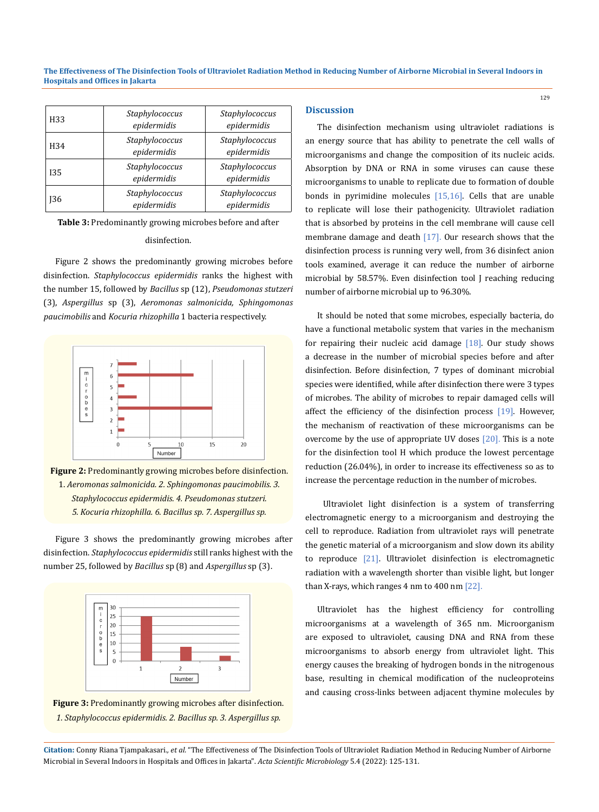| H33 | Staphylococcus<br>epidermidis | Staphylococcus<br>epidermidis |
|-----|-------------------------------|-------------------------------|
| H34 | Staphylococcus<br>epidermidis | Staphylococcus<br>epidermidis |
| 135 | Staphylococcus<br>epidermidis | Staphylococcus<br>epidermidis |
| I36 | Staphylococcus<br>epidermidis | Staphylococcus<br>epidermidis |

**Table 3:** Predominantly growing microbes before and after

#### disinfection.

Figure 2 shows the predominantly growing microbes before disinfection. *Staphylococcus epidermidis* ranks the highest with the number 15, followed by *Bacillus* sp (12), *Pseudomonas stutzeri*  (3), *Aspergillus* sp (3), *Aeromonas salmonicida, Sphingomonas paucimobilis* and *Kocuria rhizophilla* 1 bacteria respectively.



**Figure 2:** Predominantly growing microbes before disinfection. 1. *Aeromonas salmonicida. 2. Sphingomonas paucimobilis. 3. Staphylococcus epidermidis. 4. Pseudomonas stutzeri. 5. Kocuria rhizophilla. 6. Bacillus sp. 7. Aspergillus sp.*

Figure 3 shows the predominantly growing microbes after disinfection. *Staphylococcus epidermidis* still ranks highest with the number 25, followed by *Bacillus* sp (8) and *Aspergillus* sp (3).





## **Discussion**

The disinfection mechanism using ultraviolet radiations is an energy source that has ability to penetrate the cell walls of microorganisms and change the composition of its nucleic acids. Absorption by DNA or RNA in some viruses can cause these microorganisms to unable to replicate due to formation of double bonds in pyrimidine molecules [15,16]. Cells that are unable to replicate will lose their pathogenicity. Ultraviolet radiation that is absorbed by proteins in the cell membrane will cause cell membrane damage and death [17]. Our research shows that the disinfection process is running very well, from 36 disinfect anion tools examined, average it can reduce the number of airborne microbial by 58.57%. Even disinfection tool J reaching reducing number of airborne microbial up to 96.30%.

It should be noted that some microbes, especially bacteria, do have a functional metabolic system that varies in the mechanism for repairing their nucleic acid damage  $[18]$ . Our study shows a decrease in the number of microbial species before and after disinfection. Before disinfection, 7 types of dominant microbial species were identified, while after disinfection there were 3 types of microbes. The ability of microbes to repair damaged cells will affect the efficiency of the disinfection process [19]. However, the mechanism of reactivation of these microorganisms can be overcome by the use of appropriate UV doses [20]. This is a note for the disinfection tool H which produce the lowest percentage reduction (26.04%), in order to increase its effectiveness so as to increase the percentage reduction in the number of microbes.

 Ultraviolet light disinfection is a system of transferring electromagnetic energy to a microorganism and destroying the cell to reproduce. Radiation from ultraviolet rays will penetrate the genetic material of a microorganism and slow down its ability to reproduce [21]. Ultraviolet disinfection is electromagnetic radiation with a wavelength shorter than visible light, but longer than X-rays, which ranges 4 nm to 400 nm [22].

Ultraviolet has the highest efficiency for controlling microorganisms at a wavelength of 365 nm. Microorganism are exposed to ultraviolet, causing DNA and RNA from these microorganisms to absorb energy from ultraviolet light. This energy causes the breaking of hydrogen bonds in the nitrogenous base, resulting in chemical modification of the nucleoproteins and causing cross-links between adjacent thymine molecules by

**Citation:** Conny Riana Tjampakasari*., et al.* "The Effectiveness of The Disinfection Tools of Ultraviolet Radiation Method in Reducing Number of Airborne Microbial in Several Indoors in Hospitals and Offices in Jakarta". *Acta Scientific Microbiology* 5.4 (2022): 125-131.

129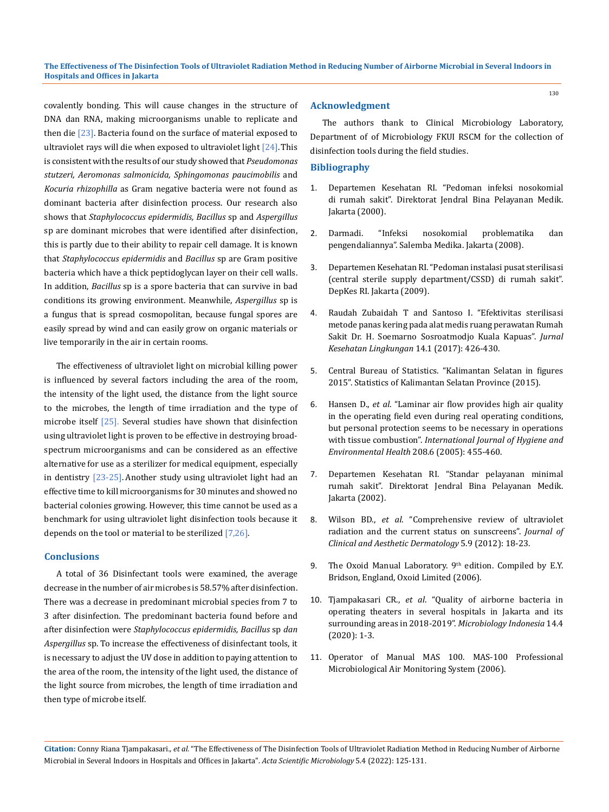covalently bonding. This will cause changes in the structure of DNA dan RNA, making microorganisms unable to replicate and then die [23]. Bacteria found on the surface of material exposed to ultraviolet rays will die when exposed to ultraviolet light [24]. This is consistent with the results of our study showed that *Pseudomonas stutzeri, Aeromonas salmonicida, Sphingomonas paucimobilis* and *Kocuria rhizophilla* as Gram negative bacteria were not found as dominant bacteria after disinfection process. Our research also shows that *Staphylococcus epidermidis, Bacillus* sp and *Aspergillus* sp are dominant microbes that were identified after disinfection, this is partly due to their ability to repair cell damage. It is known that *Staphylococcus epidermidis* and *Bacillus* sp are Gram positive bacteria which have a thick peptidoglycan layer on their cell walls. In addition, *Bacillus* sp is a spore bacteria that can survive in bad conditions its growing environment. Meanwhile, *Aspergillus* sp is a fungus that is spread cosmopolitan, because fungal spores are easily spread by wind and can easily grow on organic materials or live temporarily in the air in certain rooms.

The effectiveness of ultraviolet light on microbial killing power is influenced by several factors including the area of the room, the intensity of the light used, the distance from the light source to the microbes, the length of time irradiation and the type of microbe itself [25]. Several studies have shown that disinfection using ultraviolet light is proven to be effective in destroying broadspectrum microorganisms and can be considered as an effective alternative for use as a sterilizer for medical equipment, especially in dentistry [23-25]. Another study using ultraviolet light had an effective time to kill microorganisms for 30 minutes and showed no bacterial colonies growing. However, this time cannot be used as a benchmark for using ultraviolet light disinfection tools because it depends on the tool or material to be sterilized  $[7,26]$ .

# **Conclusions**

A total of 36 Disinfectant tools were examined, the average decrease in the number of air microbes is 58.57% after disinfection. There was a decrease in predominant microbial species from 7 to 3 after disinfection. The predominant bacteria found before and after disinfection were *Staphylococcus epidermidis, Bacillus* sp *dan Aspergillus* sp. To increase the effectiveness of disinfectant tools, it is necessary to adjust the UV dose in addition to paying attention to the area of the room, the intensity of the light used, the distance of the light source from microbes, the length of time irradiation and then type of microbe itself.

## **Acknowledgment**

The authors thank to Clinical Microbiology Laboratory, Department of of Microbiology FKUI RSCM for the collection of disinfection tools during the field studies.

130

# **Bibliography**

- 1. Departemen Kesehatan RI. "Pedoman infeksi nosokomial di rumah sakit". Direktorat Jendral Bina Pelayanan Medik. Jakarta (2000).
- 2. Darmadi. "Infeksi nosokomial problematika dan pengendaliannya". Salemba Medika. Jakarta (2008).
- 3. Departemen Kesehatan RI. "Pedoman instalasi pusat sterilisasi (central sterile supply department/CSSD) di rumah sakit". DepKes RI. Jakarta (2009).
- 4. [Raudah Zubaidah T and Santoso I. "Efektivitas sterilisasi](https://ejournal.kesling-poltekkesbjm.com/index.php/JKL/article/view/56)  [metode panas kering pada alat medis ruang perawatan Rumah](https://ejournal.kesling-poltekkesbjm.com/index.php/JKL/article/view/56)  [Sakit Dr. H. Soemarno Sosroatmodjo Kuala Kapuas".](https://ejournal.kesling-poltekkesbjm.com/index.php/JKL/article/view/56) *Jurnal [Kesehatan Lingkungan](https://ejournal.kesling-poltekkesbjm.com/index.php/JKL/article/view/56)* 14.1 (2017): 426-430.
- 5. Central Bureau of Statistics. "Kalimantan Selatan in figures 2015". Statistics of Kalimantan Selatan Province (2015).
- 6. Hansen D., *et al*[. "Laminar air flow provides high air quality](https://pubmed.ncbi.nlm.nih.gov/16325554/)  [in the operating field even during real operating conditions,](https://pubmed.ncbi.nlm.nih.gov/16325554/)  [but personal protection seems to be necessary in operations](https://pubmed.ncbi.nlm.nih.gov/16325554/)  with tissue combustion". *[International Journal of Hygiene and](https://pubmed.ncbi.nlm.nih.gov/16325554/)  [Environmental Health](https://pubmed.ncbi.nlm.nih.gov/16325554/)* 208.6 (2005): 455-460.
- 7. Departemen Kesehatan RI. "Standar pelayanan minimal rumah sakit". Direktorat Jendral Bina Pelayanan Medik. Jakarta (2002).
- 8. Wilson BD., *et al*[. "Comprehensive review of ultraviolet](https://www.ncbi.nlm.nih.gov/pmc/articles/PMC3460660/)  [radiation and the current status on sunscreens".](https://www.ncbi.nlm.nih.gov/pmc/articles/PMC3460660/) *Journal of [Clinical and Aesthetic Dermatology](https://www.ncbi.nlm.nih.gov/pmc/articles/PMC3460660/)* 5.9 (2012): 18-23.
- 9. The Oxoid Manual Laboratory.  $9<sup>th</sup>$  edition. Compiled by E.Y. Bridson, England, Oxoid Limited (2006).
- 10. Tjampakasari CR., *et al*[. "Quality of airborne bacteria in](https://jurnal.permi.or.id/index.php/mionline/article/view/764)  [operating theaters in several hospitals in Jakarta and its](https://jurnal.permi.or.id/index.php/mionline/article/view/764)  [surrounding areas in 2018-2019".](https://jurnal.permi.or.id/index.php/mionline/article/view/764) *Microbiology Indonesia* 14.4 [\(2020\): 1-3.](https://jurnal.permi.or.id/index.php/mionline/article/view/764)
- 11. Operator of Manual MAS 100. MAS-100 Professional Microbiological Air Monitoring System (2006).